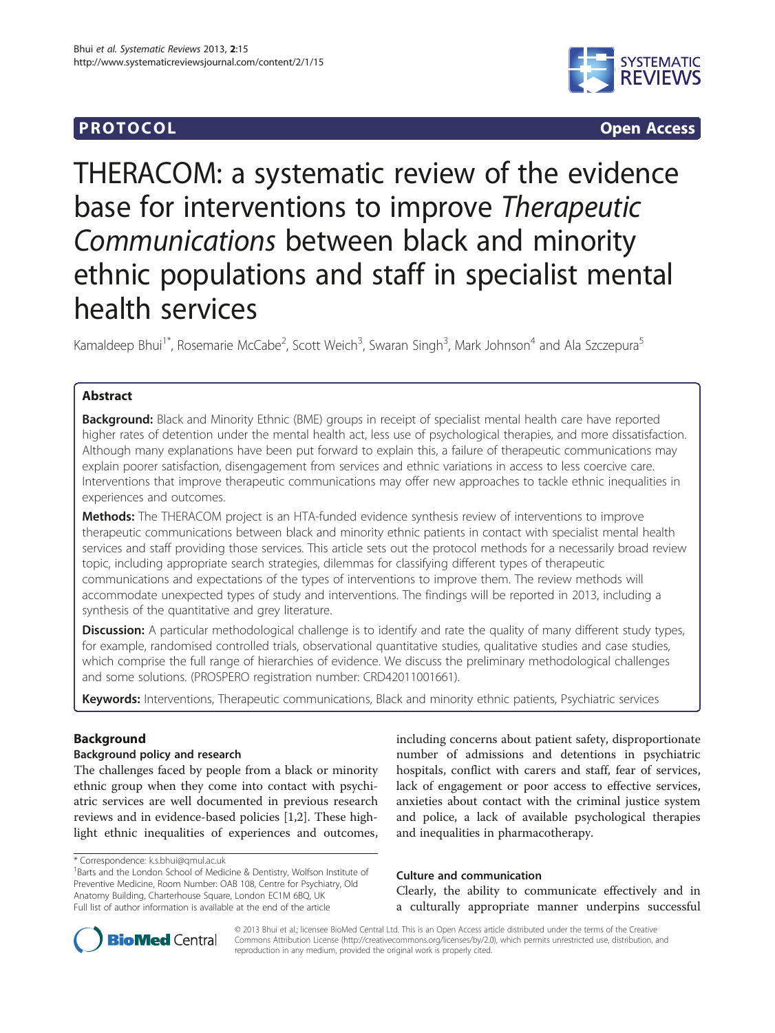# **PROTOCOL CONSUMING ACCESS**



# THERACOM: a systematic review of the evidence base for interventions to improve Therapeutic Communications between black and minority ethnic populations and staff in specialist mental health services

Kamaldeep Bhui<sup>1\*</sup>, Rosemarie McCabe<sup>2</sup>, Scott Weich<sup>3</sup>, Swaran Singh<sup>3</sup>, Mark Johnson<sup>4</sup> and Ala Szczepura<sup>5</sup>

# Abstract

**Background:** Black and Minority Ethnic (BME) groups in receipt of specialist mental health care have reported higher rates of detention under the mental health act, less use of psychological therapies, and more dissatisfaction. Although many explanations have been put forward to explain this, a failure of therapeutic communications may explain poorer satisfaction, disengagement from services and ethnic variations in access to less coercive care. Interventions that improve therapeutic communications may offer new approaches to tackle ethnic inequalities in experiences and outcomes.

Methods: The THERACOM project is an HTA-funded evidence synthesis review of interventions to improve therapeutic communications between black and minority ethnic patients in contact with specialist mental health services and staff providing those services. This article sets out the protocol methods for a necessarily broad review topic, including appropriate search strategies, dilemmas for classifying different types of therapeutic communications and expectations of the types of interventions to improve them. The review methods will accommodate unexpected types of study and interventions. The findings will be reported in 2013, including a synthesis of the quantitative and grey literature.

Discussion: A particular methodological challenge is to identify and rate the quality of many different study types, for example, randomised controlled trials, observational quantitative studies, qualitative studies and case studies, which comprise the full range of hierarchies of evidence. We discuss the preliminary methodological challenges and some solutions. (PROSPERO registration number: CRD42011001661).

Keywords: Interventions, Therapeutic communications, Black and minority ethnic patients, Psychiatric services

# Background

# Background policy and research

The challenges faced by people from a black or minority ethnic group when they come into contact with psychiatric services are well documented in previous research reviews and in evidence-based policies [\[1,2](#page-10-0)]. These highlight ethnic inequalities of experiences and outcomes,

including concerns about patient safety, disproportionate number of admissions and detentions in psychiatric hospitals, conflict with carers and staff, fear of services, lack of engagement or poor access to effective services, anxieties about contact with the criminal justice system and police, a lack of available psychological therapies and inequalities in pharmacotherapy.

## Culture and communication

Clearly, the ability to communicate effectively and in a culturally appropriate manner underpins successful



© 2013 Bhui et al.; licensee BioMed Central Ltd. This is an Open Access article distributed under the terms of the Creative Commons Attribution License [\(http://creativecommons.org/licenses/by/2.0\)](http://creativecommons.org/licenses/by/2.0), which permits unrestricted use, distribution, and reproduction in any medium, provided the original work is properly cited.

<sup>\*</sup> Correspondence: [k.s.bhui@qmul.ac.uk](mailto:k.s.bhui@qmul.ac.uk) <sup>1</sup>

<sup>&</sup>lt;sup>1</sup>Barts and the London School of Medicine & Dentistry, Wolfson Institute of Preventive Medicine, Room Number: OAB 108, Centre for Psychiatry, Old Anatomy Building, Charterhouse Square, London EC1M 6BQ, UK Full list of author information is available at the end of the article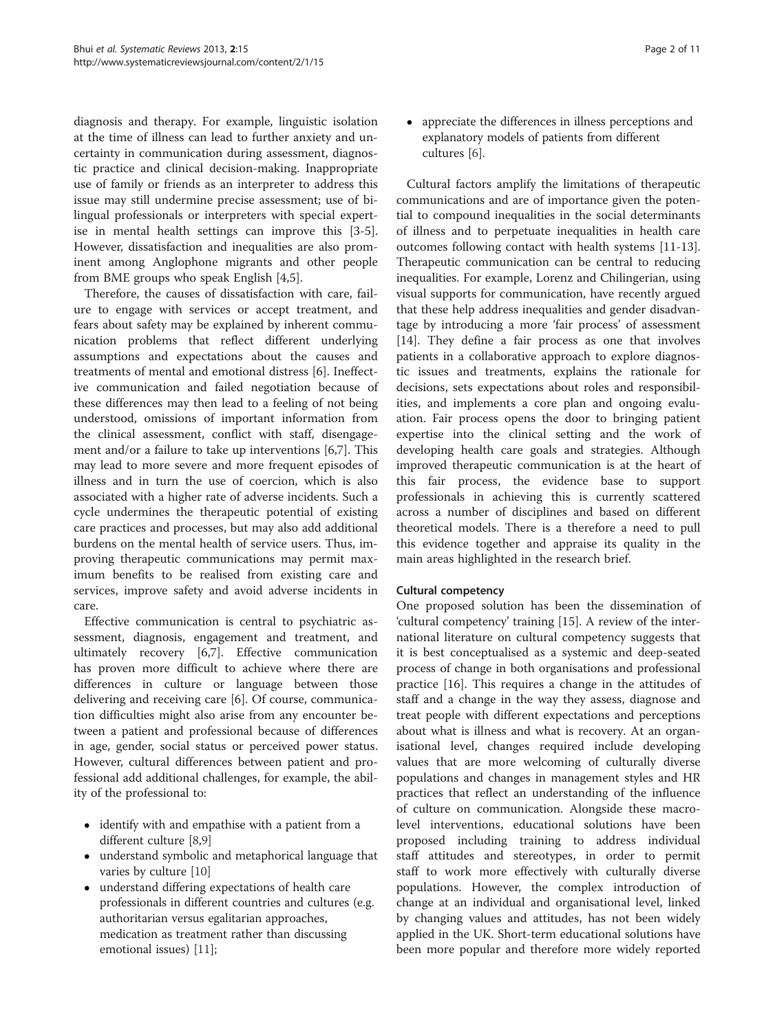diagnosis and therapy. For example, linguistic isolation at the time of illness can lead to further anxiety and uncertainty in communication during assessment, diagnostic practice and clinical decision-making. Inappropriate use of family or friends as an interpreter to address this issue may still undermine precise assessment; use of bilingual professionals or interpreters with special expertise in mental health settings can improve this [[3-5](#page-10-0)]. However, dissatisfaction and inequalities are also prominent among Anglophone migrants and other people from BME groups who speak English [\[4](#page-10-0),[5](#page-10-0)].

Therefore, the causes of dissatisfaction with care, failure to engage with services or accept treatment, and fears about safety may be explained by inherent communication problems that reflect different underlying assumptions and expectations about the causes and treatments of mental and emotional distress [\[6](#page-10-0)]. Ineffective communication and failed negotiation because of these differences may then lead to a feeling of not being understood, omissions of important information from the clinical assessment, conflict with staff, disengagement and/or a failure to take up interventions [\[6,7](#page-10-0)]. This may lead to more severe and more frequent episodes of illness and in turn the use of coercion, which is also associated with a higher rate of adverse incidents. Such a cycle undermines the therapeutic potential of existing care practices and processes, but may also add additional burdens on the mental health of service users. Thus, improving therapeutic communications may permit maximum benefits to be realised from existing care and services, improve safety and avoid adverse incidents in care.

Effective communication is central to psychiatric assessment, diagnosis, engagement and treatment, and ultimately recovery [[6,7\]](#page-10-0). Effective communication has proven more difficult to achieve where there are differences in culture or language between those delivering and receiving care [\[6](#page-10-0)]. Of course, communication difficulties might also arise from any encounter between a patient and professional because of differences in age, gender, social status or perceived power status. However, cultural differences between patient and professional add additional challenges, for example, the ability of the professional to:

- identify with and empathise with a patient from a different culture [\[8,9\]](#page-10-0)
- understand symbolic and metaphorical language that varies by culture [\[10](#page-10-0)]
- understand differing expectations of health care professionals in different countries and cultures (e.g. authoritarian versus egalitarian approaches, medication as treatment rather than discussing emotional issues) [[11\]](#page-10-0);

 appreciate the differences in illness perceptions and explanatory models of patients from different cultures [[6\]](#page-10-0).

Cultural factors amplify the limitations of therapeutic communications and are of importance given the potential to compound inequalities in the social determinants of illness and to perpetuate inequalities in health care outcomes following contact with health systems [\[11-13](#page-10-0)]. Therapeutic communication can be central to reducing inequalities. For example, Lorenz and Chilingerian, using visual supports for communication, have recently argued that these help address inequalities and gender disadvantage by introducing a more 'fair process' of assessment [[14\]](#page-10-0). They define a fair process as one that involves patients in a collaborative approach to explore diagnostic issues and treatments, explains the rationale for decisions, sets expectations about roles and responsibilities, and implements a core plan and ongoing evaluation. Fair process opens the door to bringing patient expertise into the clinical setting and the work of developing health care goals and strategies. Although improved therapeutic communication is at the heart of this fair process, the evidence base to support professionals in achieving this is currently scattered across a number of disciplines and based on different theoretical models. There is a therefore a need to pull this evidence together and appraise its quality in the main areas highlighted in the research brief.

## Cultural competency

One proposed solution has been the dissemination of 'cultural competency' training [\[15\]](#page-10-0). A review of the international literature on cultural competency suggests that it is best conceptualised as a systemic and deep-seated process of change in both organisations and professional practice [[16\]](#page-10-0). This requires a change in the attitudes of staff and a change in the way they assess, diagnose and treat people with different expectations and perceptions about what is illness and what is recovery. At an organisational level, changes required include developing values that are more welcoming of culturally diverse populations and changes in management styles and HR practices that reflect an understanding of the influence of culture on communication. Alongside these macrolevel interventions, educational solutions have been proposed including training to address individual staff attitudes and stereotypes, in order to permit staff to work more effectively with culturally diverse populations. However, the complex introduction of change at an individual and organisational level, linked by changing values and attitudes, has not been widely applied in the UK. Short-term educational solutions have been more popular and therefore more widely reported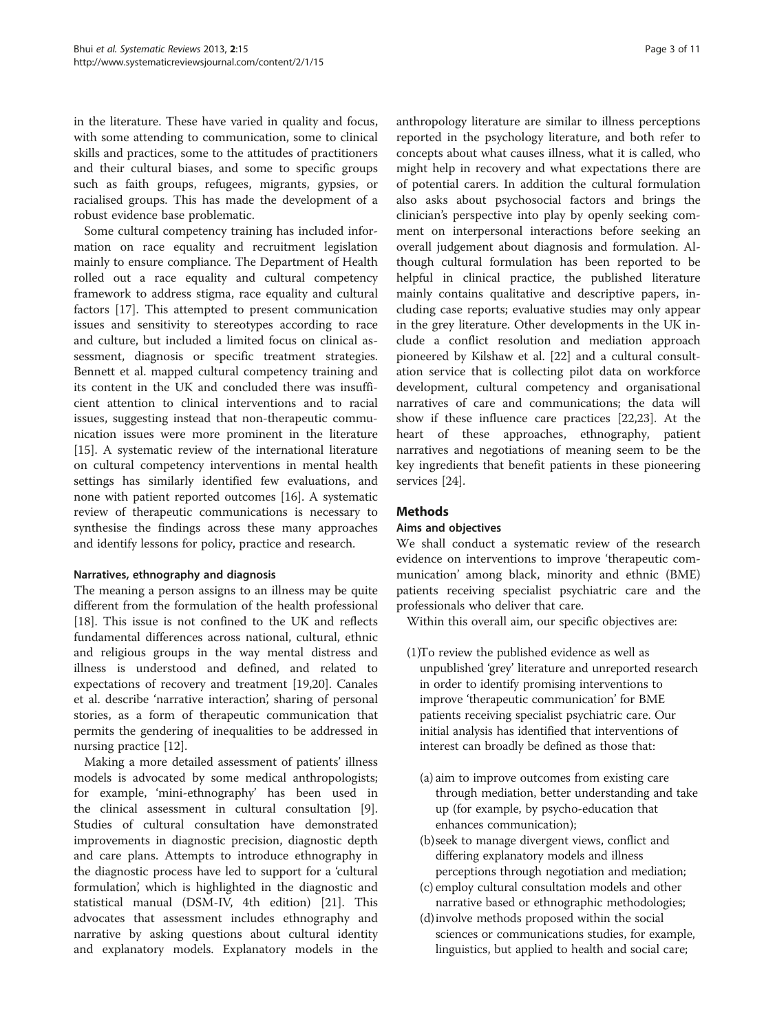in the literature. These have varied in quality and focus, with some attending to communication, some to clinical skills and practices, some to the attitudes of practitioners and their cultural biases, and some to specific groups such as faith groups, refugees, migrants, gypsies, or racialised groups. This has made the development of a robust evidence base problematic.

Some cultural competency training has included information on race equality and recruitment legislation mainly to ensure compliance. The Department of Health rolled out a race equality and cultural competency framework to address stigma, race equality and cultural factors [[17](#page-10-0)]. This attempted to present communication issues and sensitivity to stereotypes according to race and culture, but included a limited focus on clinical assessment, diagnosis or specific treatment strategies. Bennett et al. mapped cultural competency training and its content in the UK and concluded there was insufficient attention to clinical interventions and to racial issues, suggesting instead that non-therapeutic communication issues were more prominent in the literature [[15\]](#page-10-0). A systematic review of the international literature on cultural competency interventions in mental health settings has similarly identified few evaluations, and none with patient reported outcomes [[16\]](#page-10-0). A systematic review of therapeutic communications is necessary to synthesise the findings across these many approaches and identify lessons for policy, practice and research.

## Narratives, ethnography and diagnosis

The meaning a person assigns to an illness may be quite different from the formulation of the health professional [[18\]](#page-10-0). This issue is not confined to the UK and reflects fundamental differences across national, cultural, ethnic and religious groups in the way mental distress and illness is understood and defined, and related to expectations of recovery and treatment [[19,20\]](#page-10-0). Canales et al. describe 'narrative interaction', sharing of personal stories, as a form of therapeutic communication that permits the gendering of inequalities to be addressed in nursing practice [[12\]](#page-10-0).

Making a more detailed assessment of patients' illness models is advocated by some medical anthropologists; for example, 'mini-ethnography' has been used in the clinical assessment in cultural consultation [\[9](#page-10-0)]. Studies of cultural consultation have demonstrated improvements in diagnostic precision, diagnostic depth and care plans. Attempts to introduce ethnography in the diagnostic process have led to support for a 'cultural formulation', which is highlighted in the diagnostic and statistical manual (DSM-IV, 4th edition) [[21\]](#page-10-0). This advocates that assessment includes ethnography and narrative by asking questions about cultural identity and explanatory models. Explanatory models in the anthropology literature are similar to illness perceptions reported in the psychology literature, and both refer to concepts about what causes illness, what it is called, who might help in recovery and what expectations there are of potential carers. In addition the cultural formulation also asks about psychosocial factors and brings the clinician's perspective into play by openly seeking comment on interpersonal interactions before seeking an overall judgement about diagnosis and formulation. Although cultural formulation has been reported to be helpful in clinical practice, the published literature mainly contains qualitative and descriptive papers, including case reports; evaluative studies may only appear in the grey literature. Other developments in the UK include a conflict resolution and mediation approach pioneered by Kilshaw et al. [[22\]](#page-10-0) and a cultural consultation service that is collecting pilot data on workforce development, cultural competency and organisational narratives of care and communications; the data will show if these influence care practices [[22,23\]](#page-10-0). At the heart of these approaches, ethnography, patient narratives and negotiations of meaning seem to be the key ingredients that benefit patients in these pioneering services [[24](#page-10-0)].

## **Methods**

#### Aims and objectives

We shall conduct a systematic review of the research evidence on interventions to improve 'therapeutic communication' among black, minority and ethnic (BME) patients receiving specialist psychiatric care and the professionals who deliver that care.

Within this overall aim, our specific objectives are:

- (1)To review the published evidence as well as unpublished 'grey' literature and unreported research in order to identify promising interventions to improve 'therapeutic communication' for BME patients receiving specialist psychiatric care. Our initial analysis has identified that interventions of interest can broadly be defined as those that:
	- (a) aim to improve outcomes from existing care through mediation, better understanding and take up (for example, by psycho-education that enhances communication);
	- (b)seek to manage divergent views, conflict and differing explanatory models and illness perceptions through negotiation and mediation;
	- (c) employ cultural consultation models and other narrative based or ethnographic methodologies;
	- (d)involve methods proposed within the social sciences or communications studies, for example, linguistics, but applied to health and social care;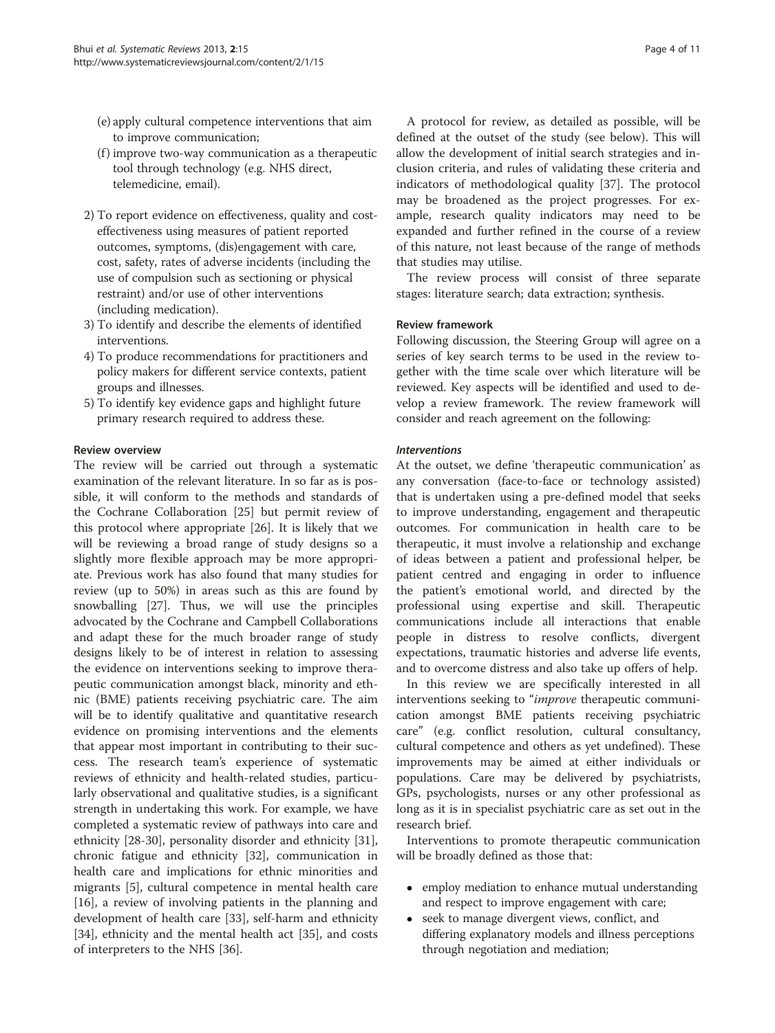- (e) apply cultural competence interventions that aim to improve communication;
- (f ) improve two-way communication as a therapeutic tool through technology (e.g. NHS direct, telemedicine, email).
- 2) To report evidence on effectiveness, quality and costeffectiveness using measures of patient reported outcomes, symptoms, (dis)engagement with care, cost, safety, rates of adverse incidents (including the use of compulsion such as sectioning or physical restraint) and/or use of other interventions (including medication).
- 3) To identify and describe the elements of identified interventions.
- 4) To produce recommendations for practitioners and policy makers for different service contexts, patient groups and illnesses.
- 5) To identify key evidence gaps and highlight future primary research required to address these.

#### Review overview

The review will be carried out through a systematic examination of the relevant literature. In so far as is possible, it will conform to the methods and standards of the Cochrane Collaboration [[25](#page-10-0)] but permit review of this protocol where appropriate [\[26](#page-10-0)]. It is likely that we will be reviewing a broad range of study designs so a slightly more flexible approach may be more appropriate. Previous work has also found that many studies for review (up to 50%) in areas such as this are found by snowballing [[27\]](#page-10-0). Thus, we will use the principles advocated by the Cochrane and Campbell Collaborations and adapt these for the much broader range of study designs likely to be of interest in relation to assessing the evidence on interventions seeking to improve therapeutic communication amongst black, minority and ethnic (BME) patients receiving psychiatric care. The aim will be to identify qualitative and quantitative research evidence on promising interventions and the elements that appear most important in contributing to their success. The research team's experience of systematic reviews of ethnicity and health-related studies, particularly observational and qualitative studies, is a significant strength in undertaking this work. For example, we have completed a systematic review of pathways into care and ethnicity [[28](#page-10-0)-[30\]](#page-10-0), personality disorder and ethnicity [\[31](#page-10-0)], chronic fatigue and ethnicity [[32](#page-10-0)], communication in health care and implications for ethnic minorities and migrants [[5](#page-10-0)], cultural competence in mental health care [[16\]](#page-10-0), a review of involving patients in the planning and development of health care [\[33](#page-10-0)], self-harm and ethnicity [[34\]](#page-10-0), ethnicity and the mental health act [[35](#page-10-0)], and costs of interpreters to the NHS [\[36](#page-10-0)].

A protocol for review, as detailed as possible, will be defined at the outset of the study (see below). This will allow the development of initial search strategies and inclusion criteria, and rules of validating these criteria and indicators of methodological quality [\[37\]](#page-10-0). The protocol may be broadened as the project progresses. For example, research quality indicators may need to be expanded and further refined in the course of a review of this nature, not least because of the range of methods that studies may utilise.

The review process will consist of three separate stages: literature search; data extraction; synthesis.

#### Review framework

Following discussion, the Steering Group will agree on a series of key search terms to be used in the review together with the time scale over which literature will be reviewed. Key aspects will be identified and used to develop a review framework. The review framework will consider and reach agreement on the following:

#### Interventions

At the outset, we define 'therapeutic communication' as any conversation (face-to-face or technology assisted) that is undertaken using a pre-defined model that seeks to improve understanding, engagement and therapeutic outcomes. For communication in health care to be therapeutic, it must involve a relationship and exchange of ideas between a patient and professional helper, be patient centred and engaging in order to influence the patient's emotional world, and directed by the professional using expertise and skill. Therapeutic communications include all interactions that enable people in distress to resolve conflicts, divergent expectations, traumatic histories and adverse life events, and to overcome distress and also take up offers of help.

In this review we are specifically interested in all interventions seeking to "improve therapeutic communication amongst BME patients receiving psychiatric care" (e.g. conflict resolution, cultural consultancy, cultural competence and others as yet undefined). These improvements may be aimed at either individuals or populations. Care may be delivered by psychiatrists, GPs, psychologists, nurses or any other professional as long as it is in specialist psychiatric care as set out in the research brief.

Interventions to promote therapeutic communication will be broadly defined as those that:

- employ mediation to enhance mutual understanding and respect to improve engagement with care;
- seek to manage divergent views, conflict, and differing explanatory models and illness perceptions through negotiation and mediation;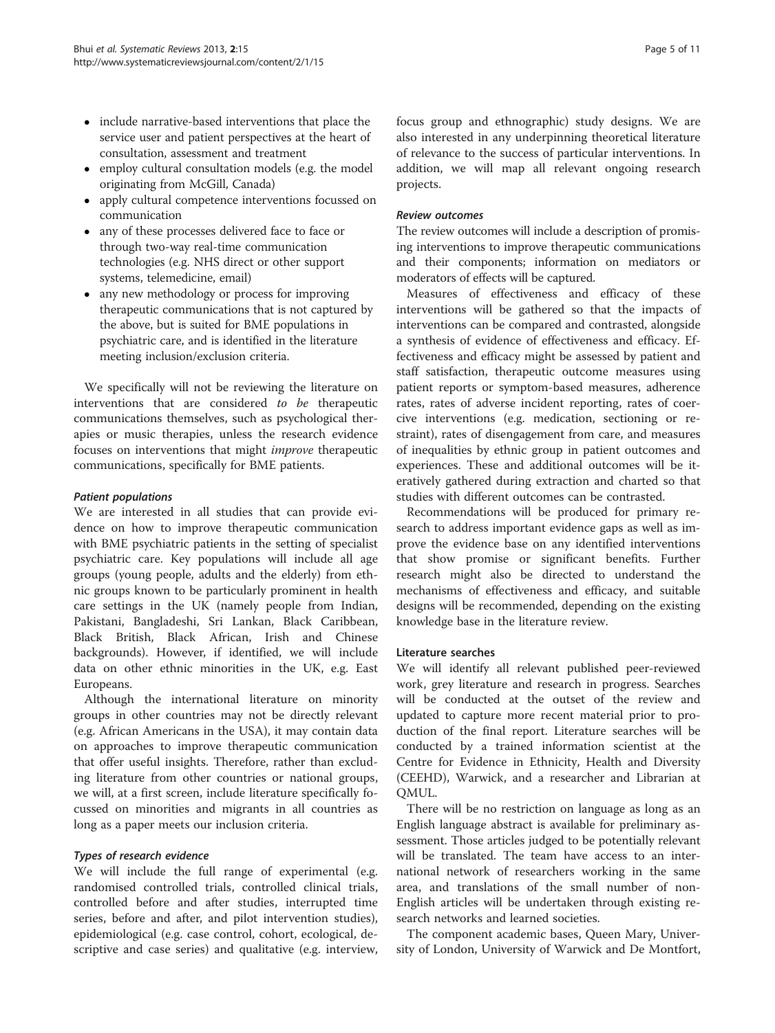- include narrative-based interventions that place the service user and patient perspectives at the heart of consultation, assessment and treatment
- employ cultural consultation models (e.g. the model originating from McGill, Canada)
- apply cultural competence interventions focussed on communication
- any of these processes delivered face to face or through two-way real-time communication technologies (e.g. NHS direct or other support systems, telemedicine, email)
- any new methodology or process for improving therapeutic communications that is not captured by the above, but is suited for BME populations in psychiatric care, and is identified in the literature meeting inclusion/exclusion criteria.

We specifically will not be reviewing the literature on interventions that are considered to be therapeutic communications themselves, such as psychological therapies or music therapies, unless the research evidence focuses on interventions that might improve therapeutic communications, specifically for BME patients.

#### Patient populations

We are interested in all studies that can provide evidence on how to improve therapeutic communication with BME psychiatric patients in the setting of specialist psychiatric care. Key populations will include all age groups (young people, adults and the elderly) from ethnic groups known to be particularly prominent in health care settings in the UK (namely people from Indian, Pakistani, Bangladeshi, Sri Lankan, Black Caribbean, Black British, Black African, Irish and Chinese backgrounds). However, if identified, we will include data on other ethnic minorities in the UK, e.g. East Europeans.

Although the international literature on minority groups in other countries may not be directly relevant (e.g. African Americans in the USA), it may contain data on approaches to improve therapeutic communication that offer useful insights. Therefore, rather than excluding literature from other countries or national groups, we will, at a first screen, include literature specifically focussed on minorities and migrants in all countries as long as a paper meets our inclusion criteria.

#### Types of research evidence

We will include the full range of experimental (e.g. randomised controlled trials, controlled clinical trials, controlled before and after studies, interrupted time series, before and after, and pilot intervention studies), epidemiological (e.g. case control, cohort, ecological, descriptive and case series) and qualitative (e.g. interview, focus group and ethnographic) study designs. We are also interested in any underpinning theoretical literature of relevance to the success of particular interventions. In addition, we will map all relevant ongoing research projects.

#### Review outcomes

The review outcomes will include a description of promising interventions to improve therapeutic communications and their components; information on mediators or moderators of effects will be captured.

Measures of effectiveness and efficacy of these interventions will be gathered so that the impacts of interventions can be compared and contrasted, alongside a synthesis of evidence of effectiveness and efficacy. Effectiveness and efficacy might be assessed by patient and staff satisfaction, therapeutic outcome measures using patient reports or symptom-based measures, adherence rates, rates of adverse incident reporting, rates of coercive interventions (e.g. medication, sectioning or restraint), rates of disengagement from care, and measures of inequalities by ethnic group in patient outcomes and experiences. These and additional outcomes will be iteratively gathered during extraction and charted so that studies with different outcomes can be contrasted.

Recommendations will be produced for primary research to address important evidence gaps as well as improve the evidence base on any identified interventions that show promise or significant benefits. Further research might also be directed to understand the mechanisms of effectiveness and efficacy, and suitable designs will be recommended, depending on the existing knowledge base in the literature review.

#### Literature searches

We will identify all relevant published peer-reviewed work, grey literature and research in progress. Searches will be conducted at the outset of the review and updated to capture more recent material prior to production of the final report. Literature searches will be conducted by a trained information scientist at the Centre for Evidence in Ethnicity, Health and Diversity (CEEHD), Warwick, and a researcher and Librarian at QMUL.

There will be no restriction on language as long as an English language abstract is available for preliminary assessment. Those articles judged to be potentially relevant will be translated. The team have access to an international network of researchers working in the same area, and translations of the small number of non-English articles will be undertaken through existing research networks and learned societies.

The component academic bases, Queen Mary, University of London, University of Warwick and De Montfort,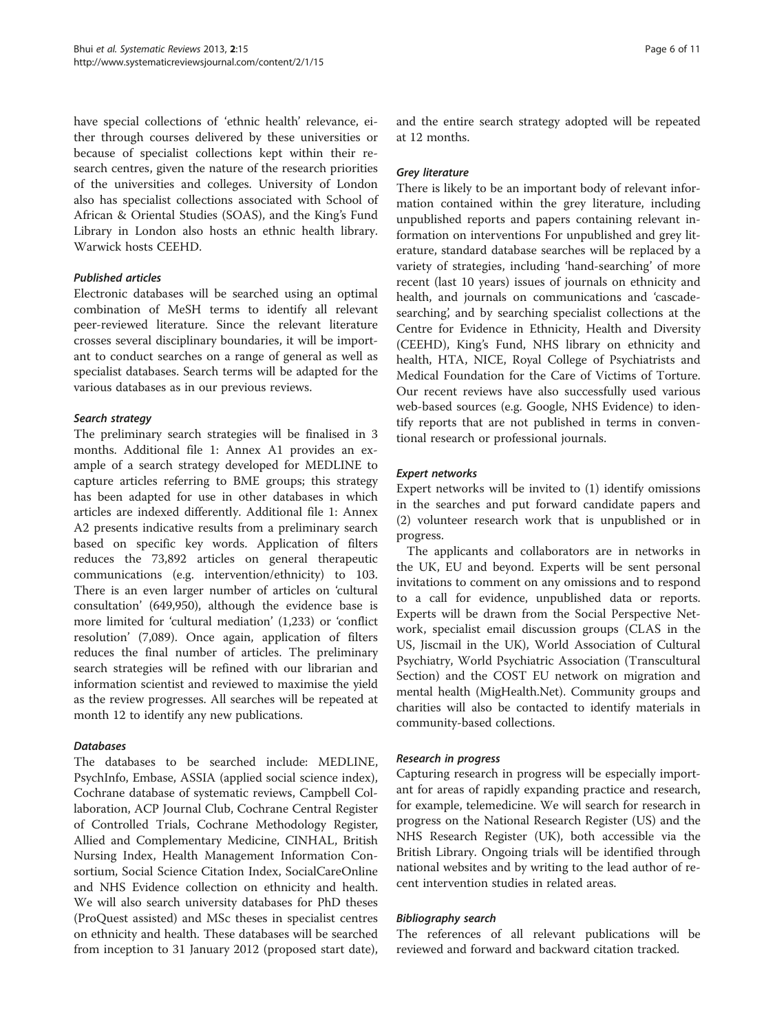have special collections of 'ethnic health' relevance, either through courses delivered by these universities or because of specialist collections kept within their research centres, given the nature of the research priorities of the universities and colleges. University of London also has specialist collections associated with School of African & Oriental Studies (SOAS), and the King's Fund Library in London also hosts an ethnic health library. Warwick hosts CEEHD.

## Published articles

Electronic databases will be searched using an optimal combination of MeSH terms to identify all relevant peer-reviewed literature. Since the relevant literature crosses several disciplinary boundaries, it will be important to conduct searches on a range of general as well as specialist databases. Search terms will be adapted for the various databases as in our previous reviews.

## Search strategy

The preliminary search strategies will be finalised in 3 months. Additional file [1](#page-9-0): Annex A1 provides an example of a search strategy developed for MEDLINE to capture articles referring to BME groups; this strategy has been adapted for use in other databases in which articles are indexed differently. Additional file [1](#page-9-0): Annex A2 presents indicative results from a preliminary search based on specific key words. Application of filters reduces the 73,892 articles on general therapeutic communications (e.g. intervention/ethnicity) to 103. There is an even larger number of articles on 'cultural consultation' (649,950), although the evidence base is more limited for 'cultural mediation' (1,233) or 'conflict resolution' (7,089). Once again, application of filters reduces the final number of articles. The preliminary search strategies will be refined with our librarian and information scientist and reviewed to maximise the yield as the review progresses. All searches will be repeated at month 12 to identify any new publications.

#### **Databases**

The databases to be searched include: MEDLINE, PsychInfo, Embase, ASSIA (applied social science index), Cochrane database of systematic reviews, Campbell Collaboration, ACP Journal Club, Cochrane Central Register of Controlled Trials, Cochrane Methodology Register, Allied and Complementary Medicine, CINHAL, British Nursing Index, Health Management Information Consortium, Social Science Citation Index, SocialCareOnline and NHS Evidence collection on ethnicity and health. We will also search university databases for PhD theses (ProQuest assisted) and MSc theses in specialist centres on ethnicity and health. These databases will be searched from inception to 31 January 2012 (proposed start date), and the entire search strategy adopted will be repeated at 12 months.

#### Grey literature

There is likely to be an important body of relevant information contained within the grey literature, including unpublished reports and papers containing relevant information on interventions For unpublished and grey literature, standard database searches will be replaced by a variety of strategies, including 'hand-searching' of more recent (last 10 years) issues of journals on ethnicity and health, and journals on communications and 'cascadesearching', and by searching specialist collections at the Centre for Evidence in Ethnicity, Health and Diversity (CEEHD), King's Fund, NHS library on ethnicity and health, HTA, NICE, Royal College of Psychiatrists and Medical Foundation for the Care of Victims of Torture. Our recent reviews have also successfully used various web-based sources (e.g. Google, NHS Evidence) to identify reports that are not published in terms in conventional research or professional journals.

#### Expert networks

Expert networks will be invited to (1) identify omissions in the searches and put forward candidate papers and (2) volunteer research work that is unpublished or in progress.

The applicants and collaborators are in networks in the UK, EU and beyond. Experts will be sent personal invitations to comment on any omissions and to respond to a call for evidence, unpublished data or reports. Experts will be drawn from the Social Perspective Network, specialist email discussion groups (CLAS in the US, Jiscmail in the UK), World Association of Cultural Psychiatry, World Psychiatric Association (Transcultural Section) and the COST EU network on migration and mental health (MigHealth.Net). Community groups and charities will also be contacted to identify materials in community-based collections.

#### Research in progress

Capturing research in progress will be especially important for areas of rapidly expanding practice and research, for example, telemedicine. We will search for research in progress on the National Research Register (US) and the NHS Research Register (UK), both accessible via the British Library. Ongoing trials will be identified through national websites and by writing to the lead author of recent intervention studies in related areas.

#### Bibliography search

The references of all relevant publications will be reviewed and forward and backward citation tracked.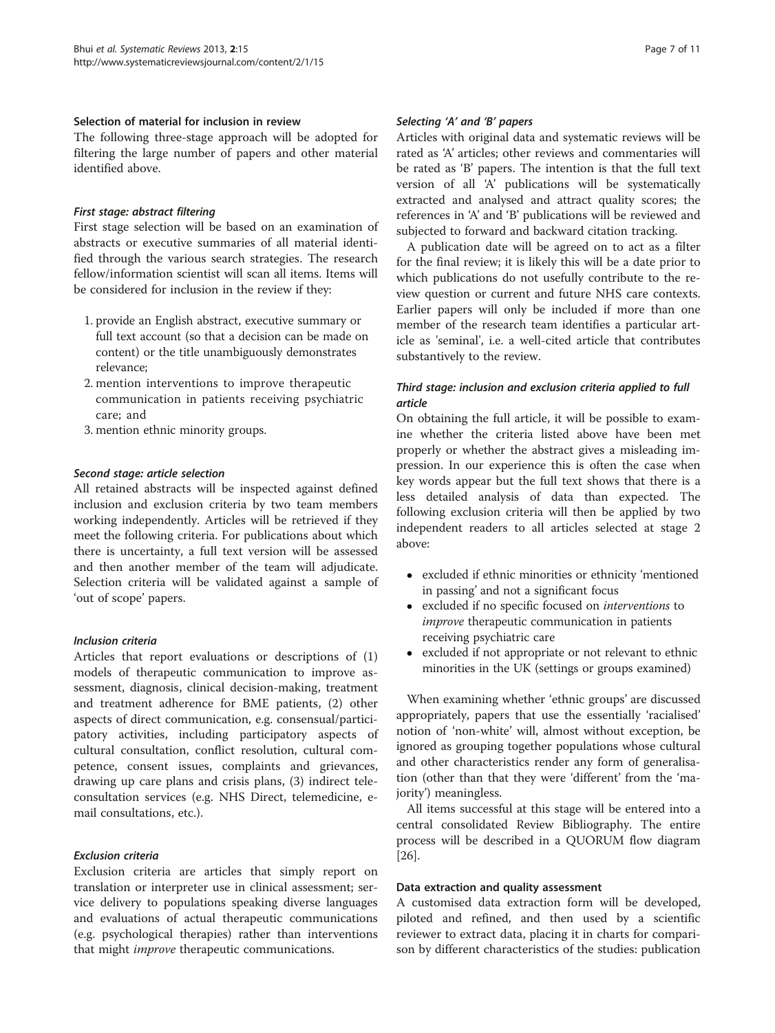#### Selection of material for inclusion in review

The following three-stage approach will be adopted for filtering the large number of papers and other material identified above.

#### First stage: abstract filtering

First stage selection will be based on an examination of abstracts or executive summaries of all material identified through the various search strategies. The research fellow/information scientist will scan all items. Items will be considered for inclusion in the review if they:

- 1. provide an English abstract, executive summary or full text account (so that a decision can be made on content) or the title unambiguously demonstrates relevance;
- 2. mention interventions to improve therapeutic communication in patients receiving psychiatric care; and
- 3. mention ethnic minority groups.

#### Second stage: article selection

All retained abstracts will be inspected against defined inclusion and exclusion criteria by two team members working independently. Articles will be retrieved if they meet the following criteria. For publications about which there is uncertainty, a full text version will be assessed and then another member of the team will adjudicate. Selection criteria will be validated against a sample of 'out of scope' papers.

#### Inclusion criteria

Articles that report evaluations or descriptions of (1) models of therapeutic communication to improve assessment, diagnosis, clinical decision-making, treatment and treatment adherence for BME patients, (2) other aspects of direct communication, e.g. consensual/participatory activities, including participatory aspects of cultural consultation, conflict resolution, cultural competence, consent issues, complaints and grievances, drawing up care plans and crisis plans, (3) indirect teleconsultation services (e.g. NHS Direct, telemedicine, email consultations, etc.).

#### Exclusion criteria

Exclusion criteria are articles that simply report on translation or interpreter use in clinical assessment; service delivery to populations speaking diverse languages and evaluations of actual therapeutic communications (e.g. psychological therapies) rather than interventions that might *improve* therapeutic communications.

#### Selecting 'A' and 'B' papers

Articles with original data and systematic reviews will be rated as 'A' articles; other reviews and commentaries will be rated as 'B' papers. The intention is that the full text version of all 'A' publications will be systematically extracted and analysed and attract quality scores; the references in 'A' and 'B' publications will be reviewed and subjected to forward and backward citation tracking.

A publication date will be agreed on to act as a filter for the final review; it is likely this will be a date prior to which publications do not usefully contribute to the review question or current and future NHS care contexts. Earlier papers will only be included if more than one member of the research team identifies a particular article as 'seminal', i.e. a well-cited article that contributes substantively to the review.

# Third stage: inclusion and exclusion criteria applied to full article

On obtaining the full article, it will be possible to examine whether the criteria listed above have been met properly or whether the abstract gives a misleading impression. In our experience this is often the case when key words appear but the full text shows that there is a less detailed analysis of data than expected. The following exclusion criteria will then be applied by two independent readers to all articles selected at stage 2 above:

- excluded if ethnic minorities or ethnicity 'mentioned in passing' and not a significant focus
- excluded if no specific focused on interventions to improve therapeutic communication in patients receiving psychiatric care
- excluded if not appropriate or not relevant to ethnic minorities in the UK (settings or groups examined)

When examining whether 'ethnic groups' are discussed appropriately, papers that use the essentially 'racialised' notion of 'non-white' will, almost without exception, be ignored as grouping together populations whose cultural and other characteristics render any form of generalisation (other than that they were 'different' from the 'majority') meaningless.

All items successful at this stage will be entered into a central consolidated Review Bibliography. The entire process will be described in a QUORUM flow diagram [[26\]](#page-10-0).

#### Data extraction and quality assessment

A customised data extraction form will be developed, piloted and refined, and then used by a scientific reviewer to extract data, placing it in charts for comparison by different characteristics of the studies: publication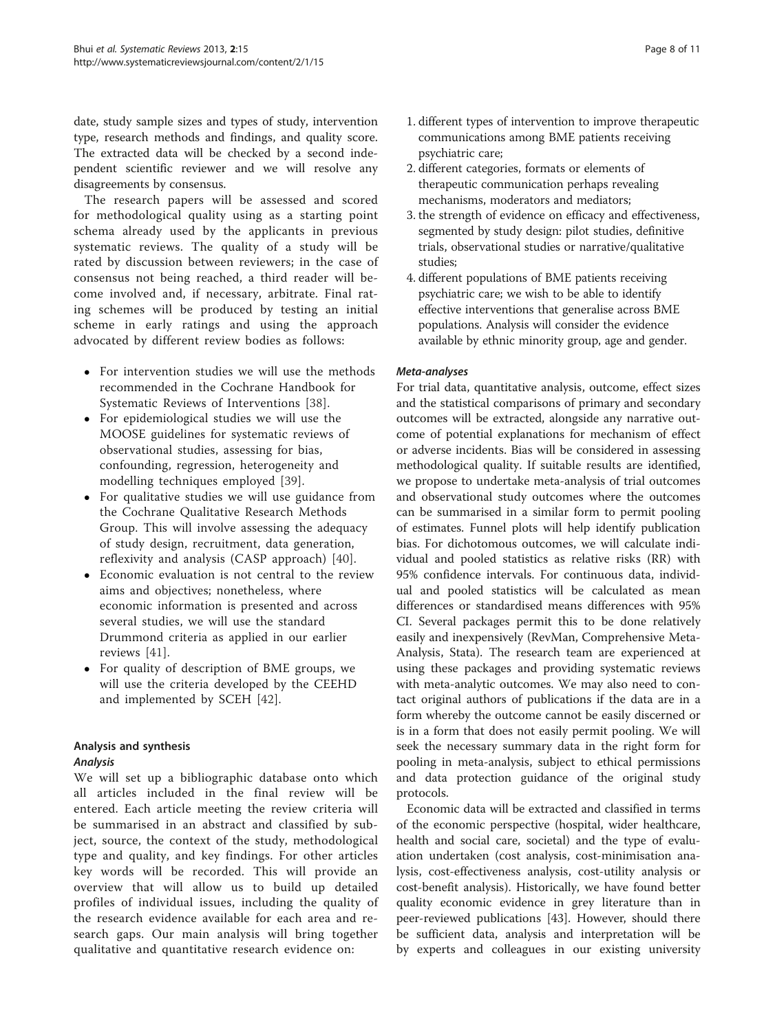date, study sample sizes and types of study, intervention type, research methods and findings, and quality score. The extracted data will be checked by a second independent scientific reviewer and we will resolve any disagreements by consensus.

The research papers will be assessed and scored for methodological quality using as a starting point schema already used by the applicants in previous systematic reviews. The quality of a study will be rated by discussion between reviewers; in the case of consensus not being reached, a third reader will become involved and, if necessary, arbitrate. Final rating schemes will be produced by testing an initial scheme in early ratings and using the approach advocated by different review bodies as follows:

- For intervention studies we will use the methods recommended in the Cochrane Handbook for Systematic Reviews of Interventions [[38](#page-10-0)].
- For epidemiological studies we will use the MOOSE guidelines for systematic reviews of observational studies, assessing for bias, confounding, regression, heterogeneity and modelling techniques employed [[39\]](#page-10-0).
- For qualitative studies we will use guidance from the Cochrane Qualitative Research Methods Group. This will involve assessing the adequacy of study design, recruitment, data generation, reflexivity and analysis (CASP approach) [[40\]](#page-10-0).
- Economic evaluation is not central to the review aims and objectives; nonetheless, where economic information is presented and across several studies, we will use the standard Drummond criteria as applied in our earlier reviews [[41](#page-10-0)].
- For quality of description of BME groups, we will use the criteria developed by the CEEHD and implemented by SCEH [[42\]](#page-10-0).

## Analysis and synthesis

## Analysis

We will set up a bibliographic database onto which all articles included in the final review will be entered. Each article meeting the review criteria will be summarised in an abstract and classified by subject, source, the context of the study, methodological type and quality, and key findings. For other articles key words will be recorded. This will provide an overview that will allow us to build up detailed profiles of individual issues, including the quality of the research evidence available for each area and research gaps. Our main analysis will bring together qualitative and quantitative research evidence on:

- 1. different types of intervention to improve therapeutic communications among BME patients receiving psychiatric care;
- 2. different categories, formats or elements of therapeutic communication perhaps revealing mechanisms, moderators and mediators;
- 3. the strength of evidence on efficacy and effectiveness, segmented by study design: pilot studies, definitive trials, observational studies or narrative/qualitative studies;
- 4. different populations of BME patients receiving psychiatric care; we wish to be able to identify effective interventions that generalise across BME populations. Analysis will consider the evidence available by ethnic minority group, age and gender.

## Meta-analyses

For trial data, quantitative analysis, outcome, effect sizes and the statistical comparisons of primary and secondary outcomes will be extracted, alongside any narrative outcome of potential explanations for mechanism of effect or adverse incidents. Bias will be considered in assessing methodological quality. If suitable results are identified, we propose to undertake meta-analysis of trial outcomes and observational study outcomes where the outcomes can be summarised in a similar form to permit pooling of estimates. Funnel plots will help identify publication bias. For dichotomous outcomes, we will calculate individual and pooled statistics as relative risks (RR) with 95% confidence intervals. For continuous data, individual and pooled statistics will be calculated as mean differences or standardised means differences with 95% CI. Several packages permit this to be done relatively easily and inexpensively (RevMan, Comprehensive Meta-Analysis, Stata). The research team are experienced at using these packages and providing systematic reviews with meta-analytic outcomes. We may also need to contact original authors of publications if the data are in a form whereby the outcome cannot be easily discerned or is in a form that does not easily permit pooling. We will seek the necessary summary data in the right form for pooling in meta-analysis, subject to ethical permissions and data protection guidance of the original study protocols.

Economic data will be extracted and classified in terms of the economic perspective (hospital, wider healthcare, health and social care, societal) and the type of evaluation undertaken (cost analysis, cost-minimisation analysis, cost-effectiveness analysis, cost-utility analysis or cost-benefit analysis). Historically, we have found better quality economic evidence in grey literature than in peer-reviewed publications [[43](#page-10-0)]. However, should there be sufficient data, analysis and interpretation will be by experts and colleagues in our existing university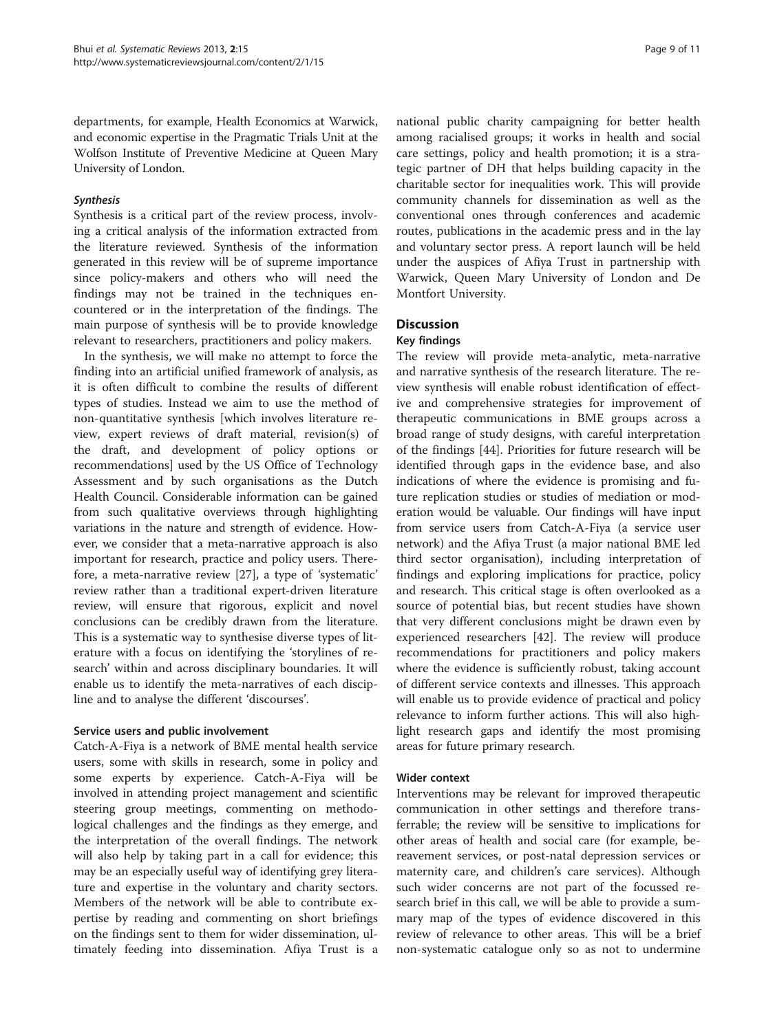departments, for example, Health Economics at Warwick, and economic expertise in the Pragmatic Trials Unit at the Wolfson Institute of Preventive Medicine at Queen Mary University of London.

#### Synthesis

Synthesis is a critical part of the review process, involving a critical analysis of the information extracted from the literature reviewed. Synthesis of the information generated in this review will be of supreme importance since policy-makers and others who will need the findings may not be trained in the techniques encountered or in the interpretation of the findings. The main purpose of synthesis will be to provide knowledge relevant to researchers, practitioners and policy makers.

In the synthesis, we will make no attempt to force the finding into an artificial unified framework of analysis, as it is often difficult to combine the results of different types of studies. Instead we aim to use the method of non-quantitative synthesis [which involves literature review, expert reviews of draft material, revision(s) of the draft, and development of policy options or recommendations] used by the US Office of Technology Assessment and by such organisations as the Dutch Health Council. Considerable information can be gained from such qualitative overviews through highlighting variations in the nature and strength of evidence. However, we consider that a meta-narrative approach is also important for research, practice and policy users. Therefore, a meta-narrative review [[27\]](#page-10-0), a type of 'systematic' review rather than a traditional expert-driven literature review, will ensure that rigorous, explicit and novel conclusions can be credibly drawn from the literature. This is a systematic way to synthesise diverse types of literature with a focus on identifying the 'storylines of research' within and across disciplinary boundaries. It will enable us to identify the meta-narratives of each discipline and to analyse the different 'discourses'.

## Service users and public involvement

Catch-A-Fiya is a network of BME mental health service users, some with skills in research, some in policy and some experts by experience. Catch-A-Fiya will be involved in attending project management and scientific steering group meetings, commenting on methodological challenges and the findings as they emerge, and the interpretation of the overall findings. The network will also help by taking part in a call for evidence; this may be an especially useful way of identifying grey literature and expertise in the voluntary and charity sectors. Members of the network will be able to contribute expertise by reading and commenting on short briefings on the findings sent to them for wider dissemination, ultimately feeding into dissemination. Afiya Trust is a

national public charity campaigning for better health among racialised groups; it works in health and social care settings, policy and health promotion; it is a strategic partner of DH that helps building capacity in the charitable sector for inequalities work. This will provide community channels for dissemination as well as the conventional ones through conferences and academic routes, publications in the academic press and in the lay and voluntary sector press. A report launch will be held under the auspices of Afiya Trust in partnership with Warwick, Queen Mary University of London and De Montfort University.

# **Discussion**

# Key findings

The review will provide meta-analytic, meta-narrative and narrative synthesis of the research literature. The review synthesis will enable robust identification of effective and comprehensive strategies for improvement of therapeutic communications in BME groups across a broad range of study designs, with careful interpretation of the findings [[44](#page-10-0)]. Priorities for future research will be identified through gaps in the evidence base, and also indications of where the evidence is promising and future replication studies or studies of mediation or moderation would be valuable. Our findings will have input from service users from Catch-A-Fiya (a service user network) and the Afiya Trust (a major national BME led third sector organisation), including interpretation of findings and exploring implications for practice, policy and research. This critical stage is often overlooked as a source of potential bias, but recent studies have shown that very different conclusions might be drawn even by experienced researchers [[42\]](#page-10-0). The review will produce recommendations for practitioners and policy makers where the evidence is sufficiently robust, taking account of different service contexts and illnesses. This approach will enable us to provide evidence of practical and policy relevance to inform further actions. This will also highlight research gaps and identify the most promising areas for future primary research.

## Wider context

Interventions may be relevant for improved therapeutic communication in other settings and therefore transferrable; the review will be sensitive to implications for other areas of health and social care (for example, bereavement services, or post-natal depression services or maternity care, and children's care services). Although such wider concerns are not part of the focussed research brief in this call, we will be able to provide a summary map of the types of evidence discovered in this review of relevance to other areas. This will be a brief non-systematic catalogue only so as not to undermine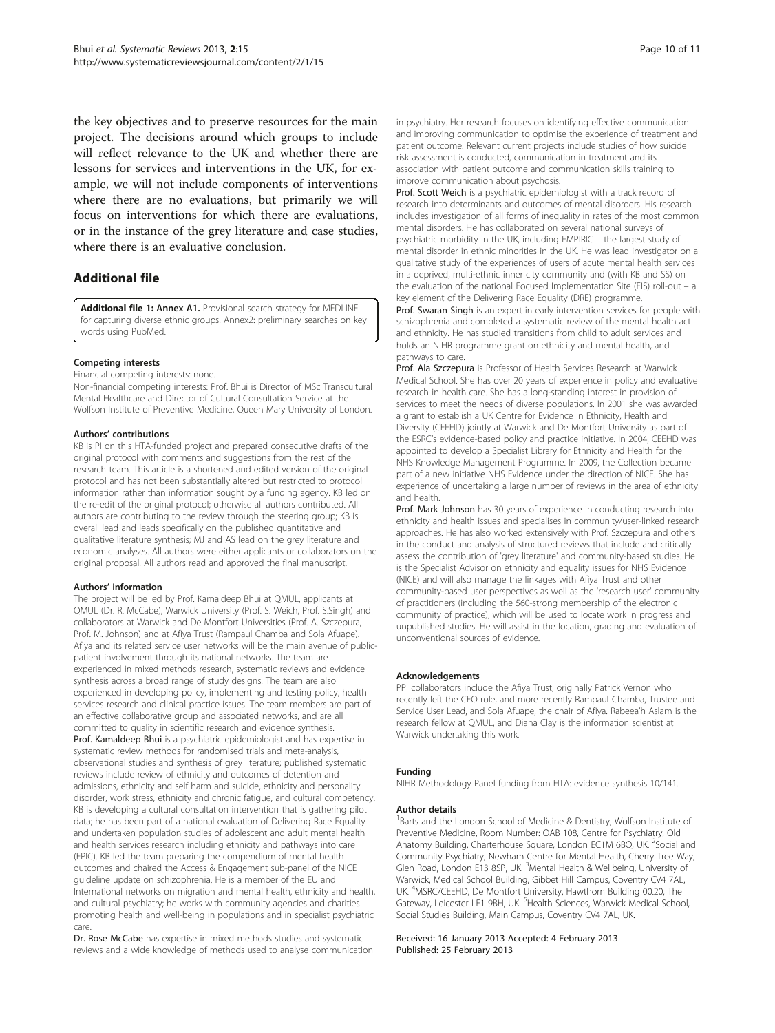<span id="page-9-0"></span>the key objectives and to preserve resources for the main project. The decisions around which groups to include will reflect relevance to the UK and whether there are lessons for services and interventions in the UK, for example, we will not include components of interventions where there are no evaluations, but primarily we will focus on interventions for which there are evaluations, or in the instance of the grey literature and case studies, where there is an evaluative conclusion.

# Additional file

[Additional file 1:](http://www.biomedcentral.com/content/supplementary/2046-4053-2-15-S1.doc) Annex A1. Provisional search strategy for MEDLINE for capturing diverse ethnic groups. Annex2: preliminary searches on key words using PubMed.

#### Competing interests

Financial competing interests: none.

Non-financial competing interests: Prof. Bhui is Director of MSc Transcultural Mental Healthcare and Director of Cultural Consultation Service at the Wolfson Institute of Preventive Medicine, Queen Mary University of London.

#### Authors' contributions

KB is PI on this HTA-funded project and prepared consecutive drafts of the original protocol with comments and suggestions from the rest of the research team. This article is a shortened and edited version of the original protocol and has not been substantially altered but restricted to protocol information rather than information sought by a funding agency. KB led on the re-edit of the original protocol; otherwise all authors contributed. All authors are contributing to the review through the steering group; KB is overall lead and leads specifically on the published quantitative and qualitative literature synthesis; MJ and AS lead on the grey literature and economic analyses. All authors were either applicants or collaborators on the original proposal. All authors read and approved the final manuscript.

#### Authors' information

The project will be led by Prof. Kamaldeep Bhui at QMUL, applicants at QMUL (Dr. R. McCabe), Warwick University (Prof. S. Weich, Prof. S.Singh) and collaborators at Warwick and De Montfort Universities (Prof. A. Szczepura, Prof. M. Johnson) and at Afiya Trust (Rampaul Chamba and Sola Afuape). Afiya and its related service user networks will be the main avenue of publicpatient involvement through its national networks. The team are experienced in mixed methods research, systematic reviews and evidence synthesis across a broad range of study designs. The team are also experienced in developing policy, implementing and testing policy, health services research and clinical practice issues. The team members are part of an effective collaborative group and associated networks, and are all committed to quality in scientific research and evidence synthesis. Prof. Kamaldeep Bhui is a psychiatric epidemiologist and has expertise in

systematic review methods for randomised trials and meta-analysis, observational studies and synthesis of grey literature; published systematic reviews include review of ethnicity and outcomes of detention and admissions, ethnicity and self harm and suicide, ethnicity and personality disorder, work stress, ethnicity and chronic fatigue, and cultural competency. KB is developing a cultural consultation intervention that is gathering pilot data; he has been part of a national evaluation of Delivering Race Equality and undertaken population studies of adolescent and adult mental health and health services research including ethnicity and pathways into care (EPIC). KB led the team preparing the compendium of mental health outcomes and chaired the Access & Engagement sub-panel of the NICE guideline update on schizophrenia. He is a member of the EU and International networks on migration and mental health, ethnicity and health, and cultural psychiatry; he works with community agencies and charities promoting health and well-being in populations and in specialist psychiatric care.

Dr. Rose McCabe has expertise in mixed methods studies and systematic reviews and a wide knowledge of methods used to analyse communication

in psychiatry. Her research focuses on identifying effective communication and improving communication to optimise the experience of treatment and patient outcome. Relevant current projects include studies of how suicide risk assessment is conducted, communication in treatment and its association with patient outcome and communication skills training to improve communication about psychosis.

Prof. Scott Weich is a psychiatric epidemiologist with a track record of research into determinants and outcomes of mental disorders. His research includes investigation of all forms of inequality in rates of the most common mental disorders. He has collaborated on several national surveys of psychiatric morbidity in the UK, including EMPIRIC – the largest study of mental disorder in ethnic minorities in the UK. He was lead investigator on a qualitative study of the experiences of users of acute mental health services in a deprived, multi-ethnic inner city community and (with KB and SS) on the evaluation of the national Focused Implementation Site (FIS) roll-out – a key element of the Delivering Race Equality (DRE) programme.

Prof. Swaran Singh is an expert in early intervention services for people with schizophrenia and completed a systematic review of the mental health act and ethnicity. He has studied transitions from child to adult services and holds an NIHR programme grant on ethnicity and mental health, and pathways to care.

Prof. Ala Szczepura is Professor of Health Services Research at Warwick Medical School. She has over 20 years of experience in policy and evaluative research in health care. She has a long-standing interest in provision of services to meet the needs of diverse populations. In 2001 she was awarded a grant to establish a UK Centre for Evidence in Ethnicity, Health and Diversity (CEEHD) jointly at Warwick and De Montfort University as part of the ESRC's evidence-based policy and practice initiative. In 2004, CEEHD was appointed to develop a Specialist Library for Ethnicity and Health for the NHS Knowledge Management Programme. In 2009, the Collection became part of a new initiative NHS Evidence under the direction of NICE. She has experience of undertaking a large number of reviews in the area of ethnicity and health.

Prof. Mark Johnson has 30 years of experience in conducting research into ethnicity and health issues and specialises in community/user-linked research approaches. He has also worked extensively with Prof. Szczepura and others in the conduct and analysis of structured reviews that include and critically assess the contribution of 'grey literature' and community-based studies. He is the Specialist Advisor on ethnicity and equality issues for NHS Evidence (NICE) and will also manage the linkages with Afiya Trust and other community-based user perspectives as well as the 'research user' community of practitioners (including the 560-strong membership of the electronic community of practice), which will be used to locate work in progress and unpublished studies. He will assist in the location, grading and evaluation of unconventional sources of evidence.

#### Acknowledgements

PPI collaborators include the Afiya Trust, originally Patrick Vernon who recently left the CEO role, and more recently Rampaul Chamba, Trustee and Service User Lead, and Sola Afuape, the chair of Afiya. Rabeea'h Aslam is the research fellow at QMUL, and Diana Clay is the information scientist at Warwick undertaking this work.

#### Funding

NIHR Methodology Panel funding from HTA: evidence synthesis 10/141.

#### Author details

<sup>1</sup>Barts and the London School of Medicine & Dentistry, Wolfson Institute of Preventive Medicine, Room Number: OAB 108, Centre for Psychiatry, Old Anatomy Building, Charterhouse Square, London EC1M 6BQ, UK. <sup>2</sup>Social and Community Psychiatry, Newham Centre for Mental Health, Cherry Tree Way, Glen Road, London E13 8SP, UK. <sup>3</sup>Mental Health & Wellbeing, University of Warwick, Medical School Building, Gibbet Hill Campus, Coventry CV4 7AL, UK. <sup>4</sup> MSRC/CEEHD, De Montfort University, Hawthorn Building 00.20, The Gateway, Leicester LE1 9BH, UK. <sup>5</sup>Health Sciences, Warwick Medical School Social Studies Building, Main Campus, Coventry CV4 7AL, UK.

#### Received: 16 January 2013 Accepted: 4 February 2013 Published: 25 February 2013